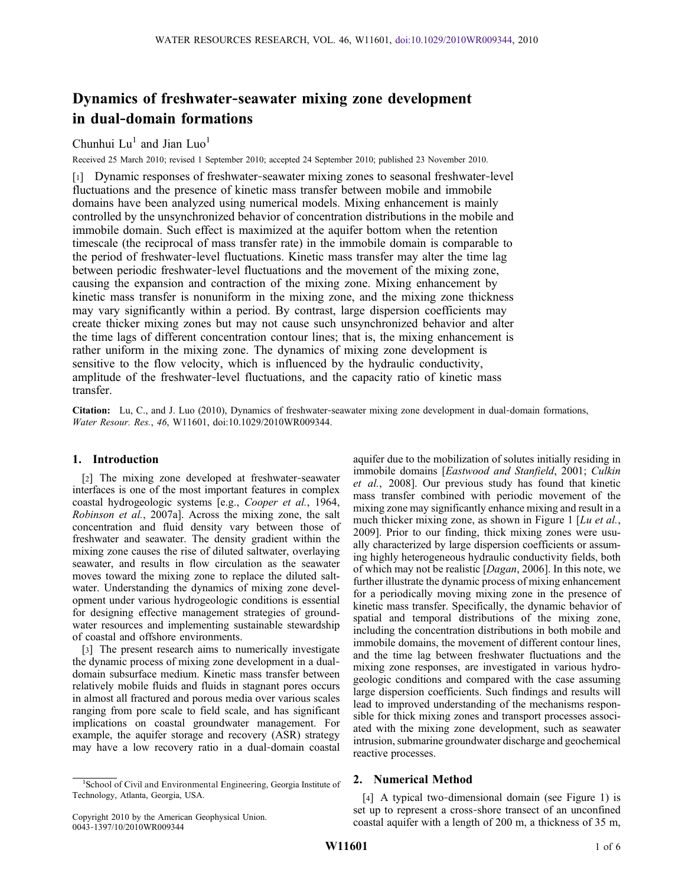# Dynamics of freshwater‐seawater mixing zone development in dual‐domain formations

# Chunhui  $Lu^1$  and Jian  $Lu^1$

Received 25 March 2010; revised 1 September 2010; accepted 24 September 2010; published 23 November 2010.

[1] Dynamic responses of freshwater‐seawater mixing zones to seasonal freshwater‐level fluctuations and the presence of kinetic mass transfer between mobile and immobile domains have been analyzed using numerical models. Mixing enhancement is mainly controlled by the unsynchronized behavior of concentration distributions in the mobile and immobile domain. Such effect is maximized at the aquifer bottom when the retention timescale (the reciprocal of mass transfer rate) in the immobile domain is comparable to the period of freshwater‐level fluctuations. Kinetic mass transfer may alter the time lag between periodic freshwater-level fluctuations and the movement of the mixing zone, causing the expansion and contraction of the mixing zone. Mixing enhancement by kinetic mass transfer is nonuniform in the mixing zone, and the mixing zone thickness may vary significantly within a period. By contrast, large dispersion coefficients may create thicker mixing zones but may not cause such unsynchronized behavior and alter the time lags of different concentration contour lines; that is, the mixing enhancement is rather uniform in the mixing zone. The dynamics of mixing zone development is sensitive to the flow velocity, which is influenced by the hydraulic conductivity, amplitude of the freshwater‐level fluctuations, and the capacity ratio of kinetic mass transfer.

Citation: Lu, C., and J. Luo (2010), Dynamics of freshwater-seawater mixing zone development in dual-domain formations, Water Resour. Res., 46, W11601, doi:10.1029/2010WR009344.

## 1. Introduction

[2] The mixing zone developed at freshwater-seawater interfaces is one of the most important features in complex coastal hydrogeologic systems [e.g., Cooper et al., 1964, Robinson et al., 2007a]. Across the mixing zone, the salt concentration and fluid density vary between those of freshwater and seawater. The density gradient within the mixing zone causes the rise of diluted saltwater, overlaying seawater, and results in flow circulation as the seawater moves toward the mixing zone to replace the diluted saltwater. Understanding the dynamics of mixing zone development under various hydrogeologic conditions is essential for designing effective management strategies of groundwater resources and implementing sustainable stewardship of coastal and offshore environments.

[3] The present research aims to numerically investigate the dynamic process of mixing zone development in a dual‐ domain subsurface medium. Kinetic mass transfer between relatively mobile fluids and fluids in stagnant pores occurs in almost all fractured and porous media over various scales ranging from pore scale to field scale, and has significant implications on coastal groundwater management. For example, the aquifer storage and recovery (ASR) strategy may have a low recovery ratio in a dual‐domain coastal

aquifer due to the mobilization of solutes initially residing in immobile domains [Eastwood and Stanfield, 2001; Culkin et al., 2008]. Our previous study has found that kinetic mass transfer combined with periodic movement of the mixing zone may significantly enhance mixing and result in a much thicker mixing zone, as shown in Figure 1 [Lu et al., 2009]. Prior to our finding, thick mixing zones were usually characterized by large dispersion coefficients or assuming highly heterogeneous hydraulic conductivity fields, both of which may not be realistic [Dagan, 2006]. In this note, we further illustrate the dynamic process of mixing enhancement for a periodically moving mixing zone in the presence of kinetic mass transfer. Specifically, the dynamic behavior of spatial and temporal distributions of the mixing zone, including the concentration distributions in both mobile and immobile domains, the movement of different contour lines, and the time lag between freshwater fluctuations and the mixing zone responses, are investigated in various hydrogeologic conditions and compared with the case assuming large dispersion coefficients. Such findings and results will lead to improved understanding of the mechanisms responsible for thick mixing zones and transport processes associated with the mixing zone development, such as seawater intrusion, submarine groundwater discharge and geochemical reactive processes.

# 2. Numerical Method

[4] A typical two-dimensional domain (see Figure 1) is set up to represent a cross‐shore transect of an unconfined coastal aquifer with a length of 200 m, a thickness of 35 m,

<sup>&</sup>lt;sup>1</sup>School of Civil and Environmental Engineering, Georgia Institute of Technology, Atlanta, Georgia, USA.

Copyright 2010 by the American Geophysical Union. 0043‐1397/10/2010WR009344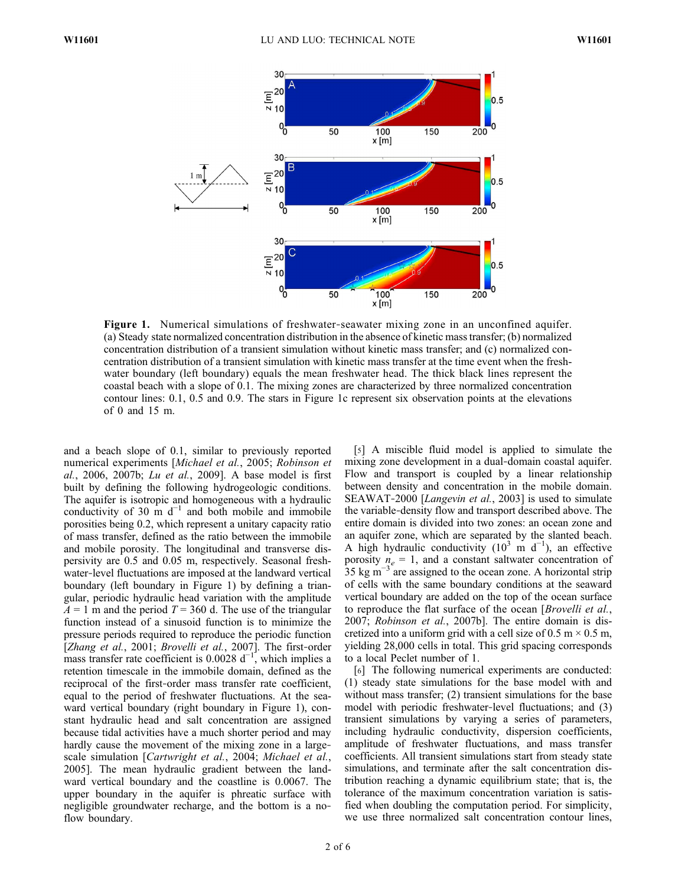

Figure 1. Numerical simulations of freshwater-seawater mixing zone in an unconfined aquifer. (a) Steady state normalized concentration distribution in the absence of kinetic mass transfer; (b) normalized concentration distribution of a transient simulation without kinetic mass transfer; and (c) normalized concentration distribution of a transient simulation with kinetic mass transfer at the time event when the freshwater boundary (left boundary) equals the mean freshwater head. The thick black lines represent the coastal beach with a slope of 0.1. The mixing zones are characterized by three normalized concentration contour lines: 0.1, 0.5 and 0.9. The stars in Figure 1c represent six observation points at the elevations of 0 and 15 m.

and a beach slope of 0.1, similar to previously reported numerical experiments [Michael et al., 2005; Robinson et al., 2006, 2007b; Lu et al., 2009]. A base model is first built by defining the following hydrogeologic conditions. The aquifer is isotropic and homogeneous with a hydraulic conductivity of 30 m  $d^{-1}$  and both mobile and immobile porosities being 0.2, which represent a unitary capacity ratio of mass transfer, defined as the ratio between the immobile and mobile porosity. The longitudinal and transverse dispersivity are 0.5 and 0.05 m, respectively. Seasonal freshwater-level fluctuations are imposed at the landward vertical boundary (left boundary in Figure 1) by defining a triangular, periodic hydraulic head variation with the amplitude  $A = 1$  m and the period  $T = 360$  d. The use of the triangular function instead of a sinusoid function is to minimize the pressure periods required to reproduce the periodic function [Zhang et al., 2001; Brovelli et al., 2007]. The first-order mass transfer rate coefficient is  $0.0028 \text{ d}^{-1}$ , which implies a retention timescale in the immobile domain, defined as the reciprocal of the first‐order mass transfer rate coefficient, equal to the period of freshwater fluctuations. At the seaward vertical boundary (right boundary in Figure 1), constant hydraulic head and salt concentration are assigned because tidal activities have a much shorter period and may hardly cause the movement of the mixing zone in a largescale simulation [Cartwright et al., 2004; Michael et al., 2005]. The mean hydraulic gradient between the landward vertical boundary and the coastline is 0.0067. The upper boundary in the aquifer is phreatic surface with negligible groundwater recharge, and the bottom is a no‐ flow boundary.

[5] A miscible fluid model is applied to simulate the mixing zone development in a dual‐domain coastal aquifer. Flow and transport is coupled by a linear relationship between density and concentration in the mobile domain. SEAWAT-2000 [Langevin et al., 2003] is used to simulate the variable‐density flow and transport described above. The entire domain is divided into two zones: an ocean zone and an aquifer zone, which are separated by the slanted beach. A high hydraulic conductivity  $(10^3 \text{ m } d^{-1})$ , an effective porosity  $n_e = 1$ , and a constant saltwater concentration of  $35 \text{ kg m}^{-3}$  are assigned to the ocean zone. A horizontal strip of cells with the same boundary conditions at the seaward vertical boundary are added on the top of the ocean surface to reproduce the flat surface of the ocean [Brovelli et al., 2007; Robinson et al., 2007b]. The entire domain is discretized into a uniform grid with a cell size of  $0.5 \text{ m} \times 0.5 \text{ m}$ , yielding 28,000 cells in total. This grid spacing corresponds to a local Peclet number of 1. [6] The following numerical experiments are conducted:

(1) steady state simulations for the base model with and without mass transfer; (2) transient simulations for the base model with periodic freshwater‐level fluctuations; and (3) transient simulations by varying a series of parameters, including hydraulic conductivity, dispersion coefficients, amplitude of freshwater fluctuations, and mass transfer coefficients. All transient simulations start from steady state simulations, and terminate after the salt concentration distribution reaching a dynamic equilibrium state; that is, the tolerance of the maximum concentration variation is satisfied when doubling the computation period. For simplicity, we use three normalized salt concentration contour lines,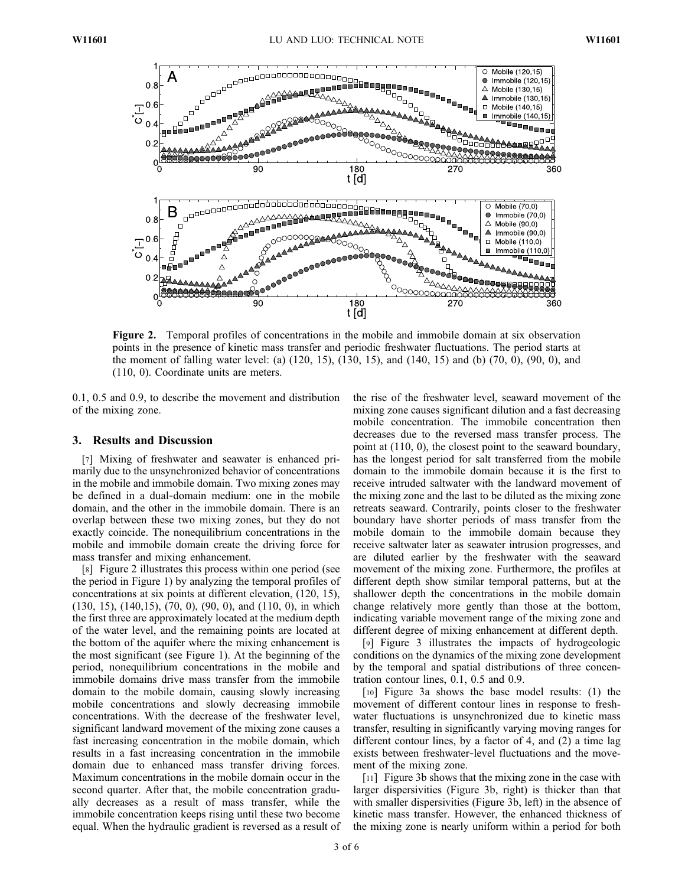

Figure 2. Temporal profiles of concentrations in the mobile and immobile domain at six observation points in the presence of kinetic mass transfer and periodic freshwater fluctuations. The period starts at the moment of falling water level: (a) (120, 15), (130, 15), and (140, 15) and (b) (70, 0), (90, 0), and (110, 0). Coordinate units are meters.

0.1, 0.5 and 0.9, to describe the movement and distribution of the mixing zone.

#### 3. Results and Discussion

[7] Mixing of freshwater and seawater is enhanced primarily due to the unsynchronized behavior of concentrations in the mobile and immobile domain. Two mixing zones may be defined in a dual‐domain medium: one in the mobile domain, and the other in the immobile domain. There is an overlap between these two mixing zones, but they do not exactly coincide. The nonequilibrium concentrations in the mobile and immobile domain create the driving force for mass transfer and mixing enhancement.

[8] Figure 2 illustrates this process within one period (see the period in Figure 1) by analyzing the temporal profiles of concentrations at six points at different elevation, (120, 15), (130, 15), (140,15), (70, 0), (90, 0), and (110, 0), in which the first three are approximately located at the medium depth of the water level, and the remaining points are located at the bottom of the aquifer where the mixing enhancement is the most significant (see Figure 1). At the beginning of the period, nonequilibrium concentrations in the mobile and immobile domains drive mass transfer from the immobile domain to the mobile domain, causing slowly increasing mobile concentrations and slowly decreasing immobile concentrations. With the decrease of the freshwater level, significant landward movement of the mixing zone causes a fast increasing concentration in the mobile domain, which results in a fast increasing concentration in the immobile domain due to enhanced mass transfer driving forces. Maximum concentrations in the mobile domain occur in the second quarter. After that, the mobile concentration gradually decreases as a result of mass transfer, while the immobile concentration keeps rising until these two become equal. When the hydraulic gradient is reversed as a result of the rise of the freshwater level, seaward movement of the mixing zone causes significant dilution and a fast decreasing mobile concentration. The immobile concentration then decreases due to the reversed mass transfer process. The point at (110, 0), the closest point to the seaward boundary, has the longest period for salt transferred from the mobile domain to the immobile domain because it is the first to receive intruded saltwater with the landward movement of the mixing zone and the last to be diluted as the mixing zone retreats seaward. Contrarily, points closer to the freshwater boundary have shorter periods of mass transfer from the mobile domain to the immobile domain because they receive saltwater later as seawater intrusion progresses, and are diluted earlier by the freshwater with the seaward movement of the mixing zone. Furthermore, the profiles at different depth show similar temporal patterns, but at the shallower depth the concentrations in the mobile domain change relatively more gently than those at the bottom, indicating variable movement range of the mixing zone and different degree of mixing enhancement at different depth.

[9] Figure 3 illustrates the impacts of hydrogeologic conditions on the dynamics of the mixing zone development by the temporal and spatial distributions of three concentration contour lines, 0.1, 0.5 and 0.9.

[10] Figure 3a shows the base model results: (1) the movement of different contour lines in response to freshwater fluctuations is unsynchronized due to kinetic mass transfer, resulting in significantly varying moving ranges for different contour lines, by a factor of 4, and (2) a time lag exists between freshwater‐level fluctuations and the movement of the mixing zone.

[11] Figure 3b shows that the mixing zone in the case with larger dispersivities (Figure 3b, right) is thicker than that with smaller dispersivities (Figure 3b, left) in the absence of kinetic mass transfer. However, the enhanced thickness of the mixing zone is nearly uniform within a period for both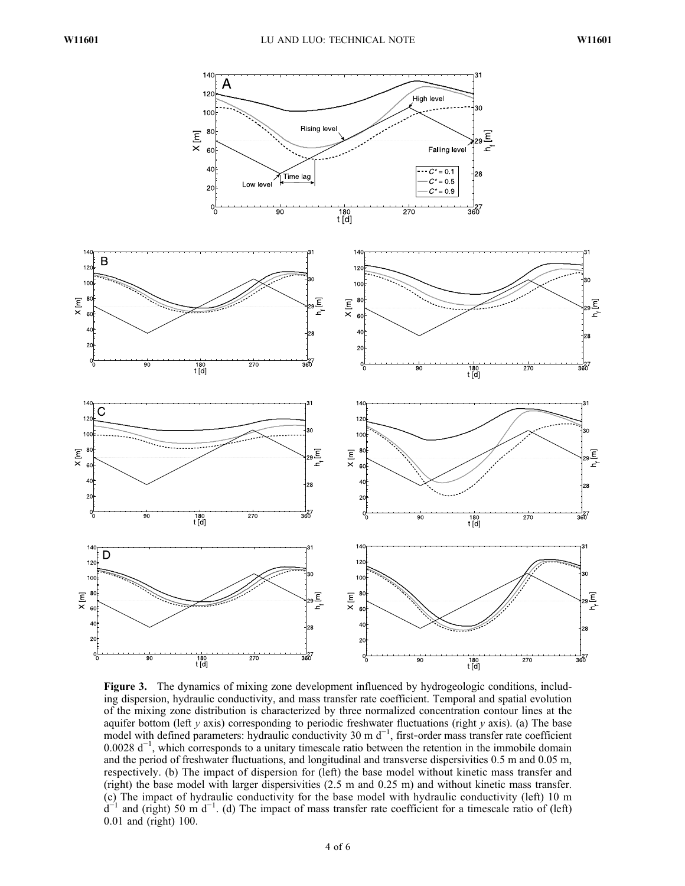

Figure 3. The dynamics of mixing zone development influenced by hydrogeologic conditions, including dispersion, hydraulic conductivity, and mass transfer rate coefficient. Temporal and spatial evolution of the mixing zone distribution is characterized by three normalized concentration contour lines at the aquifer bottom (left y axis) corresponding to periodic freshwater fluctuations (right y axis). (a) The base model with defined parameters: hydraulic conductivity 30 m d<sup>-1</sup>, first-order mass transfer rate coefficient 0.0028 d<sup>-1</sup>, which corresponds to a unitary timescale ratio between the retention in the immobile domain and the period of freshwater fluctuations, and longitudinal and transverse dispersivities 0.5 m and 0.05 m, respectively. (b) The impact of dispersion for (left) the base model without kinetic mass transfer and (right) the base model with larger dispersivities (2.5 m and 0.25 m) and without kinetic mass transfer. (c) The impact of hydraulic conductivity for the base model with hydraulic conductivity (left) 10 m  $d^{-1}$  and (right) 50 m d<sup>-1</sup>. (d) The impact of mass transfer rate coefficient for a timescale ratio of (left) 0.01 and (right) 100.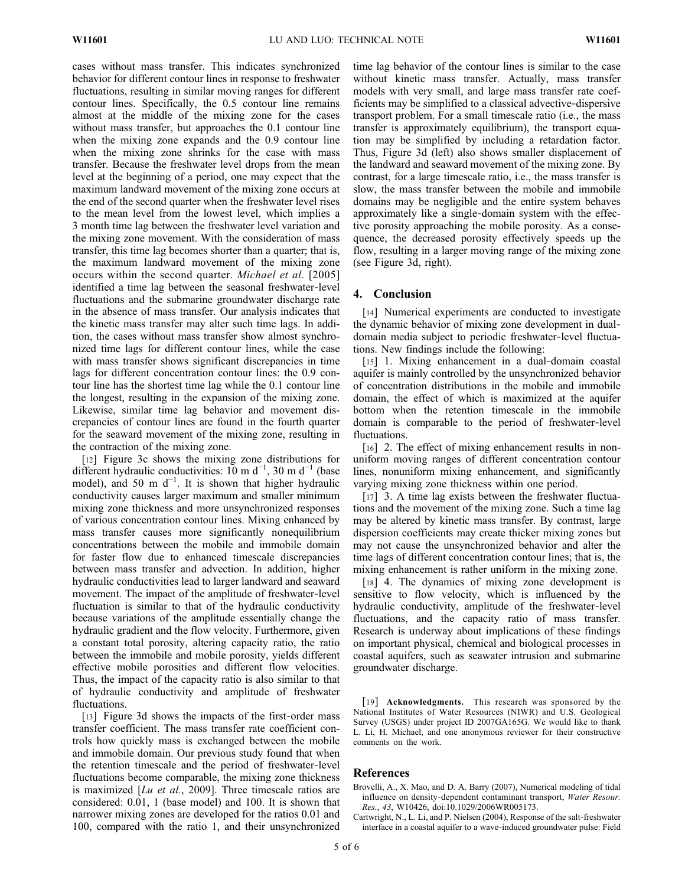cases without mass transfer. This indicates synchronized behavior for different contour lines in response to freshwater fluctuations, resulting in similar moving ranges for different contour lines. Specifically, the 0.5 contour line remains almost at the middle of the mixing zone for the cases without mass transfer, but approaches the 0.1 contour line when the mixing zone expands and the 0.9 contour line when the mixing zone shrinks for the case with mass transfer. Because the freshwater level drops from the mean level at the beginning of a period, one may expect that the maximum landward movement of the mixing zone occurs at the end of the second quarter when the freshwater level rises to the mean level from the lowest level, which implies a 3 month time lag between the freshwater level variation and the mixing zone movement. With the consideration of mass transfer, this time lag becomes shorter than a quarter; that is, the maximum landward movement of the mixing zone occurs within the second quarter. Michael et al. [2005] identified a time lag between the seasonal freshwater‐level fluctuations and the submarine groundwater discharge rate in the absence of mass transfer. Our analysis indicates that the kinetic mass transfer may alter such time lags. In addition, the cases without mass transfer show almost synchronized time lags for different contour lines, while the case with mass transfer shows significant discrepancies in time lags for different concentration contour lines: the 0.9 contour line has the shortest time lag while the 0.1 contour line the longest, resulting in the expansion of the mixing zone. Likewise, similar time lag behavior and movement discrepancies of contour lines are found in the fourth quarter for the seaward movement of the mixing zone, resulting in the contraction of the mixing zone.

[12] Figure 3c shows the mixing zone distributions for different hydraulic conductivities:  $10 \text{ m d}^{-1}$ , 30 m d<sup>-1</sup> (base model), and 50 m  $d^{-1}$ . It is shown that higher hydraulic conductivity causes larger maximum and smaller minimum mixing zone thickness and more unsynchronized responses of various concentration contour lines. Mixing enhanced by mass transfer causes more significantly nonequilibrium concentrations between the mobile and immobile domain for faster flow due to enhanced timescale discrepancies between mass transfer and advection. In addition, higher hydraulic conductivities lead to larger landward and seaward movement. The impact of the amplitude of freshwater‐level fluctuation is similar to that of the hydraulic conductivity because variations of the amplitude essentially change the hydraulic gradient and the flow velocity. Furthermore, given a constant total porosity, altering capacity ratio, the ratio between the immobile and mobile porosity, yields different effective mobile porosities and different flow velocities. Thus, the impact of the capacity ratio is also similar to that of hydraulic conductivity and amplitude of freshwater fluctuations.

[13] Figure 3d shows the impacts of the first-order mass transfer coefficient. The mass transfer rate coefficient controls how quickly mass is exchanged between the mobile and immobile domain. Our previous study found that when the retention timescale and the period of freshwater‐level fluctuations become comparable, the mixing zone thickness is maximized [*Lu et al.*, 2009]. Three timescale ratios are considered: 0.01, 1 (base model) and 100. It is shown that narrower mixing zones are developed for the ratios 0.01 and 100, compared with the ratio 1, and their unsynchronized

time lag behavior of the contour lines is similar to the case without kinetic mass transfer. Actually, mass transfer models with very small, and large mass transfer rate coefficients may be simplified to a classical advective‐dispersive transport problem. For a small timescale ratio (i.e., the mass transfer is approximately equilibrium), the transport equation may be simplified by including a retardation factor. Thus, Figure 3d (left) also shows smaller displacement of the landward and seaward movement of the mixing zone. By contrast, for a large timescale ratio, i.e., the mass transfer is slow, the mass transfer between the mobile and immobile domains may be negligible and the entire system behaves approximately like a single‐domain system with the effective porosity approaching the mobile porosity. As a consequence, the decreased porosity effectively speeds up the flow, resulting in a larger moving range of the mixing zone (see Figure 3d, right).

### 4. Conclusion

[14] Numerical experiments are conducted to investigate the dynamic behavior of mixing zone development in dualdomain media subject to periodic freshwater‐level fluctuations. New findings include the following:

[15] 1. Mixing enhancement in a dual-domain coastal aquifer is mainly controlled by the unsynchronized behavior of concentration distributions in the mobile and immobile domain, the effect of which is maximized at the aquifer bottom when the retention timescale in the immobile domain is comparable to the period of freshwater‐level fluctuations.

[16] 2. The effect of mixing enhancement results in nonuniform moving ranges of different concentration contour lines, nonuniform mixing enhancement, and significantly varying mixing zone thickness within one period.

[17] 3. A time lag exists between the freshwater fluctuations and the movement of the mixing zone. Such a time lag may be altered by kinetic mass transfer. By contrast, large dispersion coefficients may create thicker mixing zones but may not cause the unsynchronized behavior and alter the time lags of different concentration contour lines; that is, the mixing enhancement is rather uniform in the mixing zone.

[18] 4. The dynamics of mixing zone development is sensitive to flow velocity, which is influenced by the hydraulic conductivity, amplitude of the freshwater‐level fluctuations, and the capacity ratio of mass transfer. Research is underway about implications of these findings on important physical, chemical and biological processes in coastal aquifers, such as seawater intrusion and submarine groundwater discharge.

[19] Acknowledgments. This research was sponsored by the National Institutes of Water Resources (NIWR) and U.S. Geological Survey (USGS) under project ID 2007GA165G. We would like to thank L. Li, H. Michael, and one anonymous reviewer for their constructive comments on the work.

#### References

- Brovelli, A., X. Mao, and D. A. Barry (2007), Numerical modeling of tidal influence on density-dependent contaminant transport, Water Resour. Res., 43, W10426, doi:10.1029/2006WR005173.
- Cartwright, N., L. Li, and P. Nielsen (2004), Response of the salt‐freshwater interface in a coastal aquifer to a wave‐induced groundwater pulse: Field